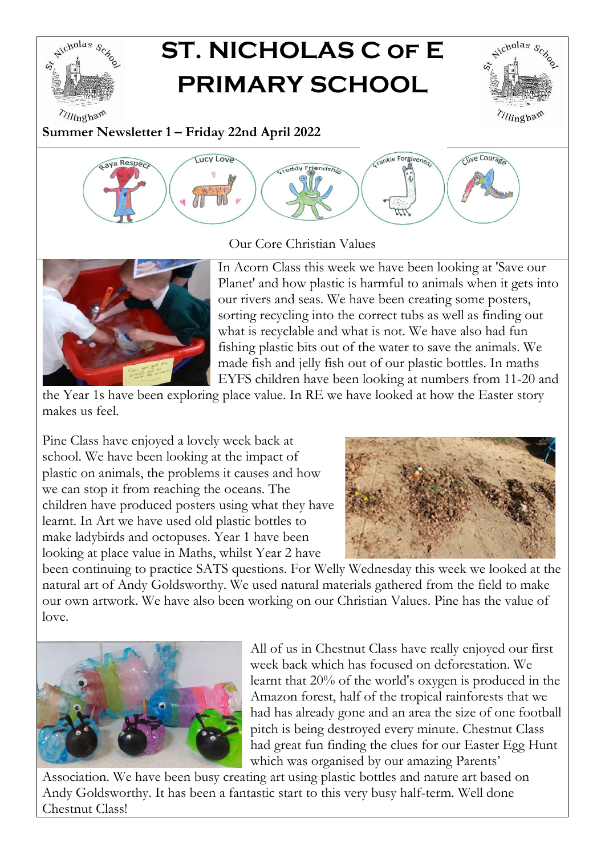

# **ST. NICHOLAS C of E PRIMARY SCHOOL**



**Summer Newsletter 1 – Friday 22nd April 2022**



Our Core Christian Values



In Acorn Class this week we have been looking at 'Save our Planet' and how plastic is harmful to animals when it gets into our rivers and seas. We have been creating some posters, sorting recycling into the correct tubs as well as finding out what is recyclable and what is not. We have also had fun fishing plastic bits out of the water to save the animals. We made fish and jelly fish out of our plastic bottles. In maths EYFS children have been looking at numbers from 11-20 and

the Year 1s have been exploring place value. In RE we have looked at how the Easter story makes us feel.

Pine Class have enjoyed a lovely week back at school. We have been looking at the impact of plastic on animals, the problems it causes and how we can stop it from reaching the oceans. The children have produced posters using what they have learnt. In Art we have used old plastic bottles to make ladybirds and octopuses. Year 1 have been looking at place value in Maths, whilst Year 2 have



been continuing to practice SATS questions. For Welly Wednesday this week we looked at the natural art of Andy Goldsworthy. We used natural materials gathered from the field to make our own artwork. We have also been working on our Christian Values. Pine has the value of love.



All of us in Chestnut Class have really enjoyed our first week back which has focused on deforestation. We learnt that 20% of the world's oxygen is produced in the Amazon forest, half of the tropical rainforests that we had has already gone and an area the size of one football pitch is being destroyed every minute. Chestnut Class had great fun finding the clues for our Easter Egg Hunt which was organised by our amazing Parents'

Association. We have been busy creating art using plastic bottles and nature art based on Andy Goldsworthy. It has been a fantastic start to this very busy half-term. Well done Chestnut Class!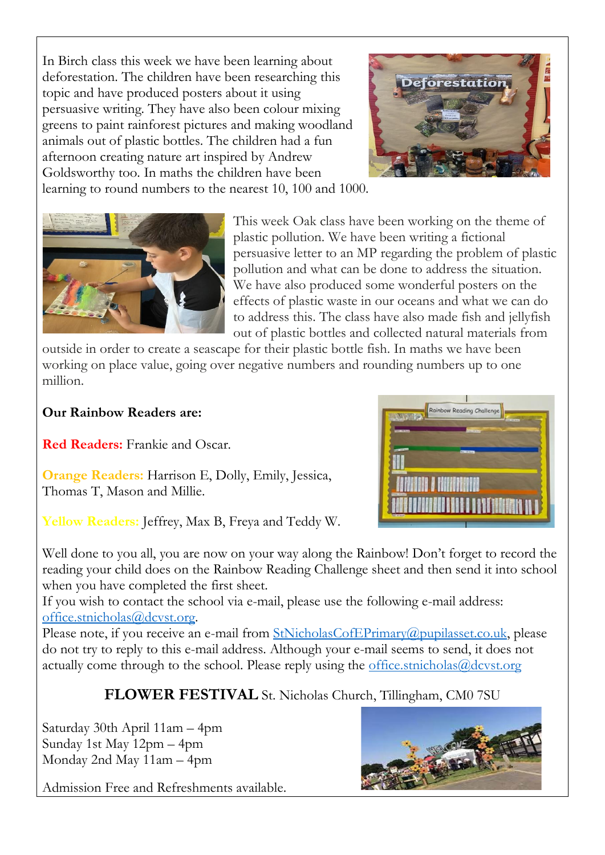In Birch class this week we have been learning about deforestation. The children have been researching this topic and have produced posters about it using persuasive writing. They have also been colour mixing greens to paint rainforest pictures and making woodland animals out of plastic bottles. The children had a fun afternoon creating nature art inspired by Andrew Goldsworthy too. In maths the children have been



learning to round numbers to the nearest 10, 100 and 1000.



This week Oak class have been working on the theme of plastic pollution. We have been writing a fictional persuasive letter to an MP regarding the problem of plastic pollution and what can be done to address the situation. We have also produced some wonderful posters on the effects of plastic waste in our oceans and what we can do to address this. The class have also made fish and jellyfish out of plastic bottles and collected natural materials from

outside in order to create a seascape for their plastic bottle fish. In maths we have been working on place value, going over negative numbers and rounding numbers up to one million.

#### **Our Rainbow Readers are:**

**Red Readers:** Frankie and Oscar.

**Orange Readers:** Harrison E, Dolly, Emily, Jessica, Thomas T, Mason and Millie.

**Yellow Readers:** Jeffrey, Max B, Freya and Teddy W.

Well done to you all, you are now on your way along the Rainbow! Don't forget to record the reading your child does on the Rainbow Reading Challenge sheet and then send it into school when you have completed the first sheet.

If you wish to contact the school via e-mail, please use the following e-mail address: [office.stnicholas@dcvst.org.](mailto:office.stnicholas@dcvst.org)

Please note, if you receive an e-mail from [StNicholasCofEPrimary@pupilasset.co.uk,](mailto:StNicholasCofEPrimary@pupilasset.co.uk) please do not try to reply to this e-mail address. Although your e-mail seems to send, it does not actually come through to the school. Please reply using the [office.stnicholas@dcvst.org](mailto:office.stnicholas@dcvst.org)

**FLOWER FESTIVAL** St. Nicholas Church, Tillingham, CM0 7SU

Saturday 30th April 11am – 4pm Sunday 1st May 12pm – 4pm Monday 2nd May 11am – 4pm

Admission Free and Refreshments available.



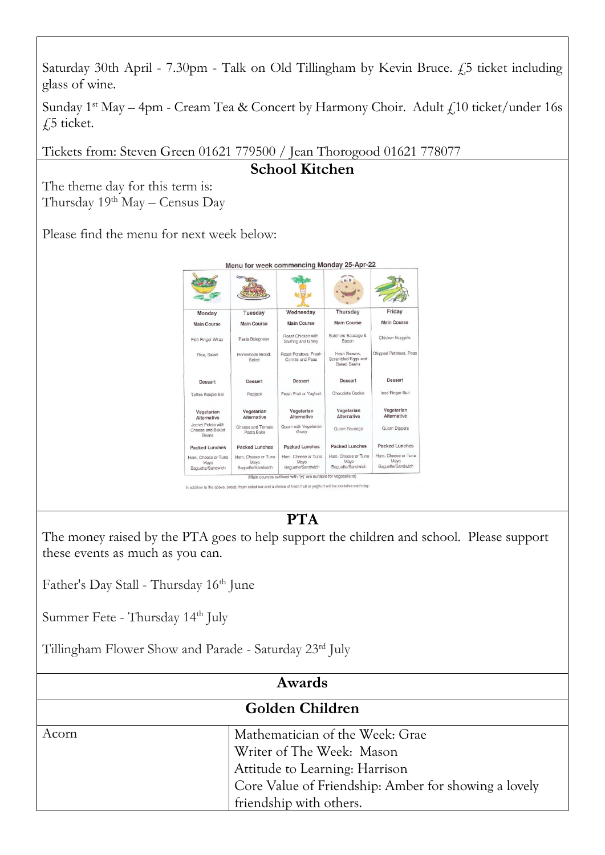

Sunday  $1^{st}$  May – 4pm - Cream Tea & Concert by Harmony Choir. Adult  $f$  10 ticket/under 16s  $\int$ 5 ticket.

Tickets from: Steven Green 01621 779500 / Jean Thorogood 01621 778077

**School Kitchen**

The theme day for this term is: Thursday 19<sup>th</sup> May – Census Day

Please find the menu for next week below:



## **PTA**

The money raised by the PTA goes to help support the children and school. Please support these events as much as you can.

Father's Day Stall - Thursday 16<sup>th</sup> June

Summer Fete - Thursday 14<sup>th</sup> July

Tillingham Flower Show and Parade - Saturday 23rd July

| Awards          |                                                                                                                                                                                   |
|-----------------|-----------------------------------------------------------------------------------------------------------------------------------------------------------------------------------|
| Golden Children |                                                                                                                                                                                   |
| Acorn           | Mathematician of the Week: Grae<br>Writer of The Week: Mason<br>Attitude to Learning: Harrison<br>Core Value of Friendship: Amber for showing a lovely<br>friendship with others. |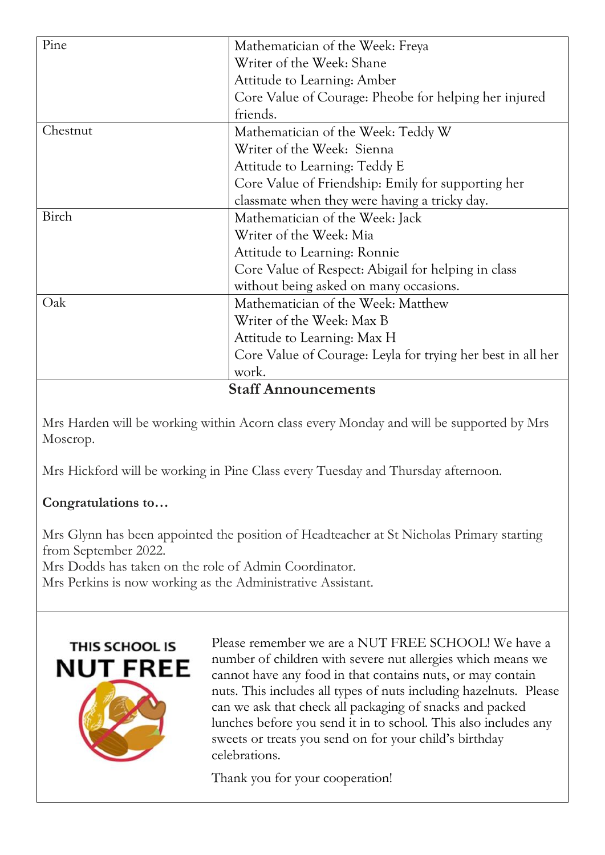| Pine                       | Mathematician of the Week: Freya                            |  |
|----------------------------|-------------------------------------------------------------|--|
|                            | Writer of the Week: Shane                                   |  |
|                            | Attitude to Learning: Amber                                 |  |
|                            | Core Value of Courage: Pheobe for helping her injured       |  |
|                            | friends.                                                    |  |
| Chestnut                   | Mathematician of the Week: Teddy W                          |  |
|                            | Writer of the Week: Sienna                                  |  |
|                            | Attitude to Learning: Teddy E                               |  |
|                            | Core Value of Friendship: Emily for supporting her          |  |
|                            | classmate when they were having a tricky day.               |  |
| Birch                      | Mathematician of the Week: Jack                             |  |
|                            | Writer of the Week: Mia                                     |  |
|                            | Attitude to Learning: Ronnie                                |  |
|                            | Core Value of Respect: Abigail for helping in class         |  |
|                            | without being asked on many occasions.                      |  |
| Oak                        | Mathematician of the Week: Matthew                          |  |
|                            | Writer of the Week: Max B                                   |  |
|                            | Attitude to Learning: Max H                                 |  |
|                            | Core Value of Courage: Leyla for trying her best in all her |  |
|                            | work.                                                       |  |
| <b>Staff Announcements</b> |                                                             |  |

Mrs Harden will be working within Acorn class every Monday and will be supported by Mrs Moscrop.

Mrs Hickford will be working in Pine Class every Tuesday and Thursday afternoon.

### **Congratulations to…**

Mrs Glynn has been appointed the position of Headteacher at St Nicholas Primary starting from September 2022.

Mrs Dodds has taken on the role of Admin Coordinator.

Mrs Perkins is now working as the Administrative Assistant.



Please remember we are a NUT FREE SCHOOL! We have a number of children with severe nut allergies which means we cannot have any food in that contains nuts, or may contain nuts. This includes all types of nuts including hazelnuts. Please can we ask that check all packaging of snacks and packed lunches before you send it in to school. This also includes any sweets or treats you send on for your child's birthday celebrations.

Thank you for your cooperation!